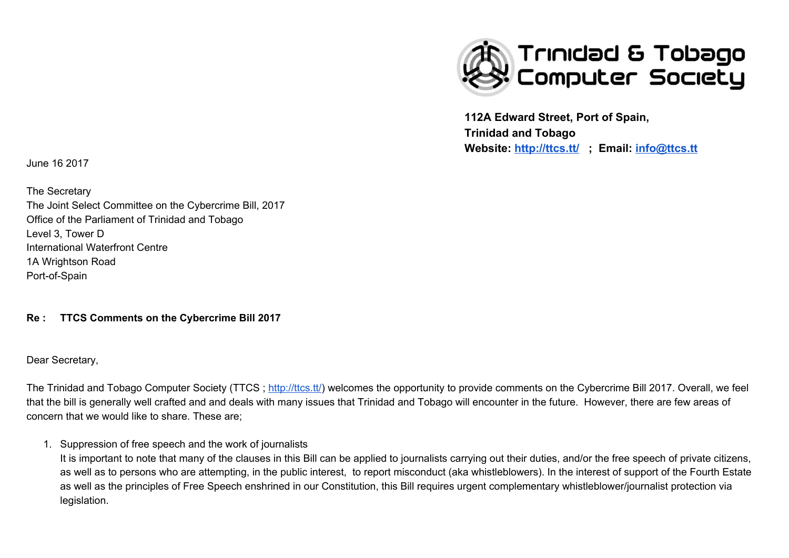

**112A Edward Street, Port of Spain, Trinidad and Tobago Website: <http://ttcs.tt/> ; Email: [info@ttcs.tt](mailto:info@ttcs.tt)**

June 16 2017

The Secretary The Joint Select Committee on the Cybercrime Bill, 2017 Office of the Parliament of Trinidad and Tobago Level 3, Tower D International Waterfront Centre 1A Wrightson Road Port-of-Spain

#### **Re : TTCS Comments on the Cybercrime Bill 2017**

Dear Secretary,

The Trinidad and Tobago Computer Society (TTCS; [http://ttcs.tt/\)](http://ttcs.tt/) welcomes the opportunity to provide comments on the Cybercrime Bill 2017. Overall, we feel that the bill is generally well crafted and and deals with many issues that Trinidad and Tobago will encounter in the future. However, there are few areas of concern that we would like to share. These are;

1. Suppression of free speech and the work of journalists

It is important to note that many of the clauses in this Bill can be applied to journalists carrying out their duties, and/or the free speech of private citizens, as well as to persons who are attempting, in the public interest, to report misconduct (aka whistleblowers). In the interest of support of the Fourth Estate as well as the principles of Free Speech enshrined in our Constitution, this Bill requires urgent complementary whistleblower/journalist protection via legislation.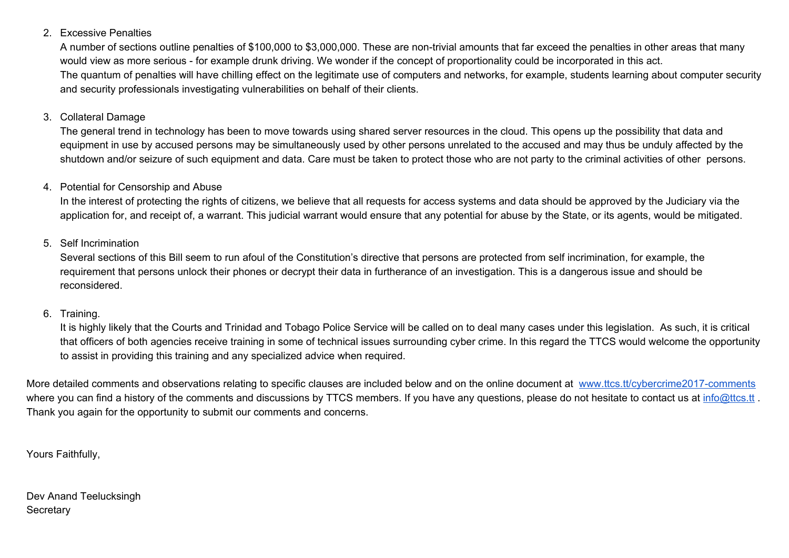#### 2. Excessive Penalties

A number of sections outline penalties of \$100,000 to \$3,000,000. These are non-trivial amounts that far exceed the penalties in other areas that many would view as more serious - for example drunk driving. We wonder if the concept of proportionality could be incorporated in this act. The quantum of penalties will have chilling effect on the legitimate use of computers and networks, for example, students learning about computer security and security professionals investigating vulnerabilities on behalf of their clients.

#### 3. Collateral Damage

The general trend in technology has been to move towards using shared server resources in the cloud. This opens up the possibility that data and equipment in use by accused persons may be simultaneously used by other persons unrelated to the accused and may thus be unduly affected by the shutdown and/or seizure of such equipment and data. Care must be taken to protect those who are not party to the criminal activities of other persons.

#### 4. Potential for Censorship and Abuse

In the interest of protecting the rights of citizens, we believe that all requests for access systems and data should be approved by the Judiciary via the application for, and receipt of, a warrant. This judicial warrant would ensure that any potential for abuse by the State, or its agents, would be mitigated.

#### 5. Self Incrimination

Several sections of this Bill seem to run afoul of the Constitution's directive that persons are protected from self incrimination, for example, the requirement that persons unlock their phones or decrypt their data in furtherance of an investigation. This is a dangerous issue and should be reconsidered.

#### 6. Training.

It is highly likely that the Courts and Trinidad and Tobago Police Service will be called on to deal many cases under this legislation. As such, it is critical that officers of both agencies receive training in some of technical issues surrounding cyber crime. In this regard the TTCS would welcome the opportunity to assist in providing this training and any specialized advice when required.

More detailed comments and observations relating to specific clauses are included below and on the online document at [www.ttcs.tt/cybercrime2017-comments](http://www.ttcs.tt/cybercrime2017-comments) where you can find a history of the comments and discussions by TTCS members. If you have any questions, please do not hesitate to contact us at [info@ttcs.tt](mailto:info@ttcs.tt). Thank you again for the opportunity to submit our comments and concerns.

Yours Faithfully,

Dev Anand Teelucksingh **Secretary**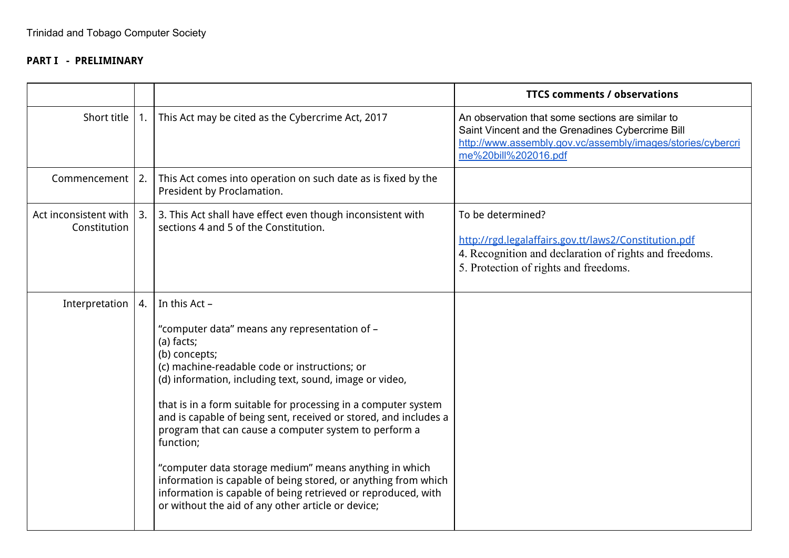## **PART I - PRELIMINARY**

|                                       |    |                                                                                                                                                                                                                                                                                                                                                                                                                                                                                                                                                                                                                                                                          | <b>TTCS comments / observations</b>                                                                                                                                                         |
|---------------------------------------|----|--------------------------------------------------------------------------------------------------------------------------------------------------------------------------------------------------------------------------------------------------------------------------------------------------------------------------------------------------------------------------------------------------------------------------------------------------------------------------------------------------------------------------------------------------------------------------------------------------------------------------------------------------------------------------|---------------------------------------------------------------------------------------------------------------------------------------------------------------------------------------------|
| Short title                           | 1. | This Act may be cited as the Cybercrime Act, 2017                                                                                                                                                                                                                                                                                                                                                                                                                                                                                                                                                                                                                        | An observation that some sections are similar to<br>Saint Vincent and the Grenadines Cybercrime Bill<br>http://www.assembly.gov.vc/assembly/images/stories/cybercri<br>me%20bill%202016.pdf |
| Commencement                          | 2. | This Act comes into operation on such date as is fixed by the<br>President by Proclamation.                                                                                                                                                                                                                                                                                                                                                                                                                                                                                                                                                                              |                                                                                                                                                                                             |
| Act inconsistent with<br>Constitution | 3. | 3. This Act shall have effect even though inconsistent with<br>sections 4 and 5 of the Constitution.                                                                                                                                                                                                                                                                                                                                                                                                                                                                                                                                                                     | To be determined?<br>http://rgd.legalaffairs.gov.tt/laws2/Constitution.pdf<br>4. Recognition and declaration of rights and freedoms.<br>5. Protection of rights and freedoms.               |
| Interpretation                        | 4. | In this Act -<br>"computer data" means any representation of -<br>(a) facts;<br>(b) concepts;<br>(c) machine-readable code or instructions; or<br>(d) information, including text, sound, image or video,<br>that is in a form suitable for processing in a computer system<br>and is capable of being sent, received or stored, and includes a<br>program that can cause a computer system to perform a<br>function;<br>"computer data storage medium" means anything in which<br>information is capable of being stored, or anything from which<br>information is capable of being retrieved or reproduced, with<br>or without the aid of any other article or device; |                                                                                                                                                                                             |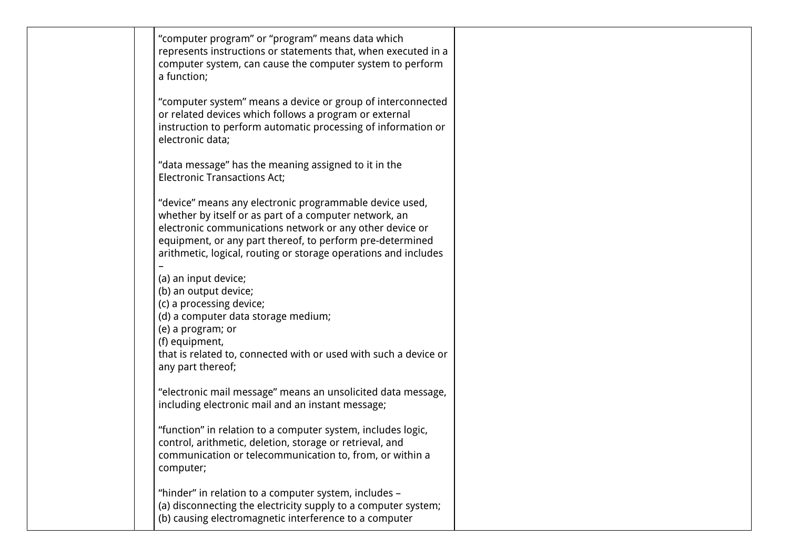| "computer program" or "program" means data which<br>represents instructions or statements that, when executed in a<br>computer system, can cause the computer system to perform<br>a function;                                                                                                                |  |
|---------------------------------------------------------------------------------------------------------------------------------------------------------------------------------------------------------------------------------------------------------------------------------------------------------------|--|
| "computer system" means a device or group of interconnected<br>or related devices which follows a program or external<br>instruction to perform automatic processing of information or<br>electronic data;                                                                                                    |  |
| "data message" has the meaning assigned to it in the<br><b>Electronic Transactions Act;</b>                                                                                                                                                                                                                   |  |
| "device" means any electronic programmable device used,<br>whether by itself or as part of a computer network, an<br>electronic communications network or any other device or<br>equipment, or any part thereof, to perform pre-determined<br>arithmetic, logical, routing or storage operations and includes |  |
| (a) an input device;<br>(b) an output device;<br>(c) a processing device;<br>(d) a computer data storage medium;<br>(e) a program; or<br>(f) equipment,<br>that is related to, connected with or used with such a device or<br>any part thereof;                                                              |  |
| "electronic mail message" means an unsolicited data message,<br>including electronic mail and an instant message;                                                                                                                                                                                             |  |
| "function" in relation to a computer system, includes logic,<br>control, arithmetic, deletion, storage or retrieval, and<br>communication or telecommunication to, from, or within a<br>computer;                                                                                                             |  |
| "hinder" in relation to a computer system, includes -<br>(a) disconnecting the electricity supply to a computer system;<br>(b) causing electromagnetic interference to a computer                                                                                                                             |  |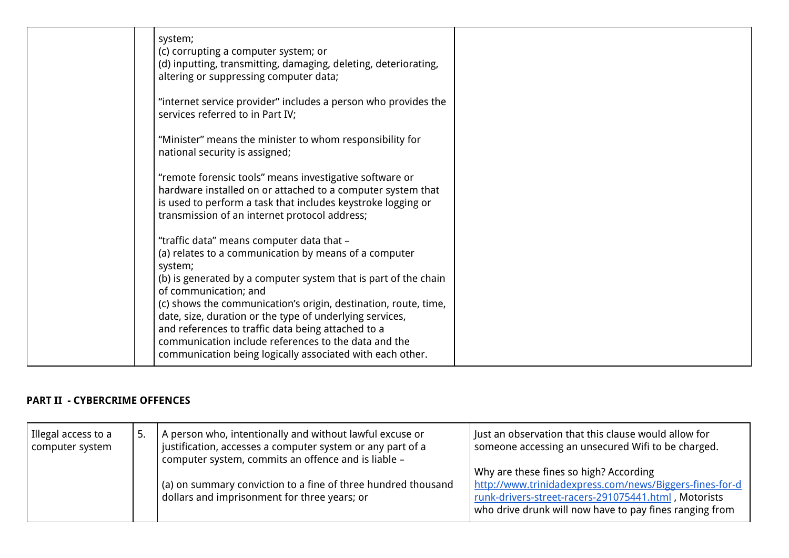| system;<br>(c) corrupting a computer system; or<br>(d) inputting, transmitting, damaging, deleting, deteriorating,<br>altering or suppressing computer data;                                                                                                                                                                                                                                                                                                                                                        |  |
|---------------------------------------------------------------------------------------------------------------------------------------------------------------------------------------------------------------------------------------------------------------------------------------------------------------------------------------------------------------------------------------------------------------------------------------------------------------------------------------------------------------------|--|
| "internet service provider" includes a person who provides the<br>services referred to in Part IV;                                                                                                                                                                                                                                                                                                                                                                                                                  |  |
| "Minister" means the minister to whom responsibility for<br>national security is assigned;                                                                                                                                                                                                                                                                                                                                                                                                                          |  |
| "remote forensic tools" means investigative software or<br>hardware installed on or attached to a computer system that<br>is used to perform a task that includes keystroke logging or<br>transmission of an internet protocol address;                                                                                                                                                                                                                                                                             |  |
| "traffic data" means computer data that -<br>(a) relates to a communication by means of a computer<br>system;<br>(b) is generated by a computer system that is part of the chain<br>of communication; and<br>(c) shows the communication's origin, destination, route, time,<br>date, size, duration or the type of underlying services,<br>and references to traffic data being attached to a<br>communication include references to the data and the<br>communication being logically associated with each other. |  |

# **PART II - CYBERCRIME OFFENCES**

| Illegal access to a<br>computer system | A person who, intentionally and without lawful excuse or<br>$^{\text{!}}$ justification, accesses a computer system or any part of a<br>computer system, commits an offence and is liable - | Just an observation that this clause would allow for<br>someone accessing an unsecured Wifi to be charged.                                                                                                           |
|----------------------------------------|---------------------------------------------------------------------------------------------------------------------------------------------------------------------------------------------|----------------------------------------------------------------------------------------------------------------------------------------------------------------------------------------------------------------------|
|                                        | $\frac{1}{2}$ (a) on summary conviction to a fine of three hundred thousand<br>dollars and imprisonment for three years; or                                                                 | Why are these fines so high? According<br>http://www.trinidadexpress.com/news/Biggers-fines-for-d<br>runk-drivers-street-racers-291075441.html, Motorists<br>who drive drunk will now have to pay fines ranging from |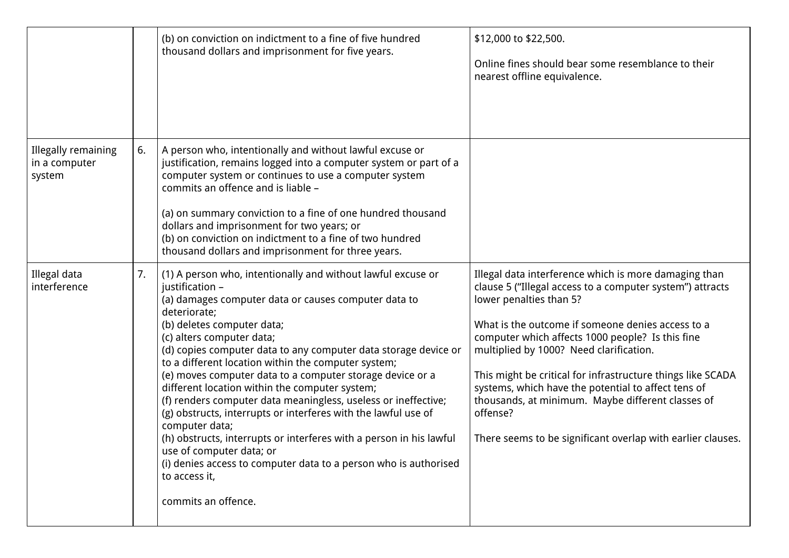|                                                |    | (b) on conviction on indictment to a fine of five hundred<br>thousand dollars and imprisonment for five years.                                                                                                                                                                                                                                                                                                                                                                                                                                                                                                                                                                                                                                                                                                                   | \$12,000 to \$22,500.<br>Online fines should bear some resemblance to their<br>nearest offline equivalence.                                                                                                                                                                                                                                                                                                                                                                                                                                             |
|------------------------------------------------|----|----------------------------------------------------------------------------------------------------------------------------------------------------------------------------------------------------------------------------------------------------------------------------------------------------------------------------------------------------------------------------------------------------------------------------------------------------------------------------------------------------------------------------------------------------------------------------------------------------------------------------------------------------------------------------------------------------------------------------------------------------------------------------------------------------------------------------------|---------------------------------------------------------------------------------------------------------------------------------------------------------------------------------------------------------------------------------------------------------------------------------------------------------------------------------------------------------------------------------------------------------------------------------------------------------------------------------------------------------------------------------------------------------|
| Illegally remaining<br>in a computer<br>system | 6. | A person who, intentionally and without lawful excuse or<br>justification, remains logged into a computer system or part of a<br>computer system or continues to use a computer system<br>commits an offence and is liable -<br>(a) on summary conviction to a fine of one hundred thousand<br>dollars and imprisonment for two years; or<br>(b) on conviction on indictment to a fine of two hundred<br>thousand dollars and imprisonment for three years.                                                                                                                                                                                                                                                                                                                                                                      |                                                                                                                                                                                                                                                                                                                                                                                                                                                                                                                                                         |
| Illegal data<br>interference                   | 7. | (1) A person who, intentionally and without lawful excuse or<br>justification -<br>(a) damages computer data or causes computer data to<br>deteriorate;<br>(b) deletes computer data;<br>(c) alters computer data;<br>(d) copies computer data to any computer data storage device or<br>to a different location within the computer system;<br>(e) moves computer data to a computer storage device or a<br>different location within the computer system;<br>(f) renders computer data meaningless, useless or ineffective;<br>(g) obstructs, interrupts or interferes with the lawful use of<br>computer data;<br>(h) obstructs, interrupts or interferes with a person in his lawful<br>use of computer data; or<br>(i) denies access to computer data to a person who is authorised<br>to access it,<br>commits an offence. | Illegal data interference which is more damaging than<br>clause 5 ("Illegal access to a computer system") attracts<br>lower penalties than 5?<br>What is the outcome if someone denies access to a<br>computer which affects 1000 people? Is this fine<br>multiplied by 1000? Need clarification.<br>This might be critical for infrastructure things like SCADA<br>systems, which have the potential to affect tens of<br>thousands, at minimum. Maybe different classes of<br>offense?<br>There seems to be significant overlap with earlier clauses. |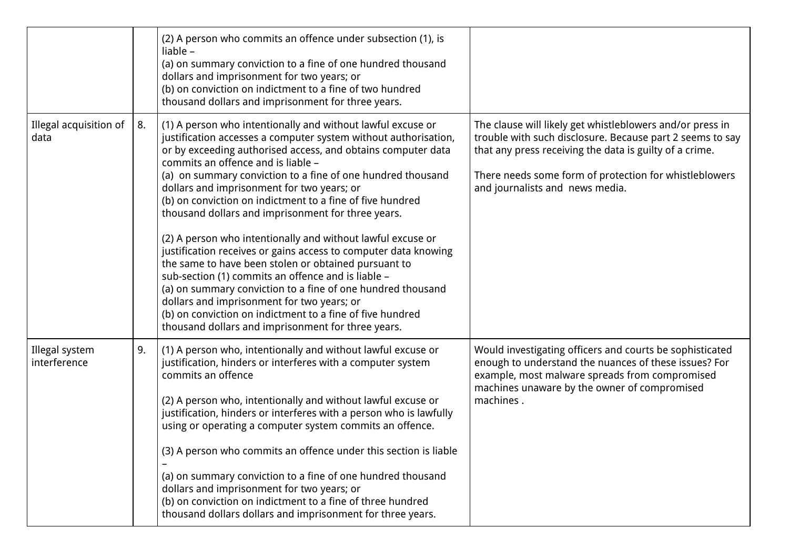|                                |    | (2) A person who commits an offence under subsection (1), is<br>liable $-$<br>(a) on summary conviction to a fine of one hundred thousand<br>dollars and imprisonment for two years; or<br>(b) on conviction on indictment to a fine of two hundred<br>thousand dollars and imprisonment for three years.                                                                                                                                                                                                                                                                                                                                                                                                                                                                                                                                                                                                                                            |                                                                                                                                                                                                                                                                                |
|--------------------------------|----|------------------------------------------------------------------------------------------------------------------------------------------------------------------------------------------------------------------------------------------------------------------------------------------------------------------------------------------------------------------------------------------------------------------------------------------------------------------------------------------------------------------------------------------------------------------------------------------------------------------------------------------------------------------------------------------------------------------------------------------------------------------------------------------------------------------------------------------------------------------------------------------------------------------------------------------------------|--------------------------------------------------------------------------------------------------------------------------------------------------------------------------------------------------------------------------------------------------------------------------------|
| Illegal acquisition of<br>data | 8. | (1) A person who intentionally and without lawful excuse or<br>justification accesses a computer system without authorisation,<br>or by exceeding authorised access, and obtains computer data<br>commits an offence and is liable -<br>(a) on summary conviction to a fine of one hundred thousand<br>dollars and imprisonment for two years; or<br>(b) on conviction on indictment to a fine of five hundred<br>thousand dollars and imprisonment for three years.<br>(2) A person who intentionally and without lawful excuse or<br>justification receives or gains access to computer data knowing<br>the same to have been stolen or obtained pursuant to<br>sub-section (1) commits an offence and is liable -<br>(a) on summary conviction to a fine of one hundred thousand<br>dollars and imprisonment for two years; or<br>(b) on conviction on indictment to a fine of five hundred<br>thousand dollars and imprisonment for three years. | The clause will likely get whistleblowers and/or press in<br>trouble with such disclosure. Because part 2 seems to say<br>that any press receiving the data is guilty of a crime.<br>There needs some form of protection for whistleblowers<br>and journalists and news media. |
| Illegal system<br>interference | 9. | (1) A person who, intentionally and without lawful excuse or<br>justification, hinders or interferes with a computer system<br>commits an offence<br>(2) A person who, intentionally and without lawful excuse or<br>justification, hinders or interferes with a person who is lawfully<br>using or operating a computer system commits an offence.<br>(3) A person who commits an offence under this section is liable<br>(a) on summary conviction to a fine of one hundred thousand<br>dollars and imprisonment for two years; or<br>(b) on conviction on indictment to a fine of three hundred<br>thousand dollars dollars and imprisonment for three years.                                                                                                                                                                                                                                                                                     | Would investigating officers and courts be sophisticated<br>enough to understand the nuances of these issues? For<br>example, most malware spreads from compromised<br>machines unaware by the owner of compromised<br>machines.                                               |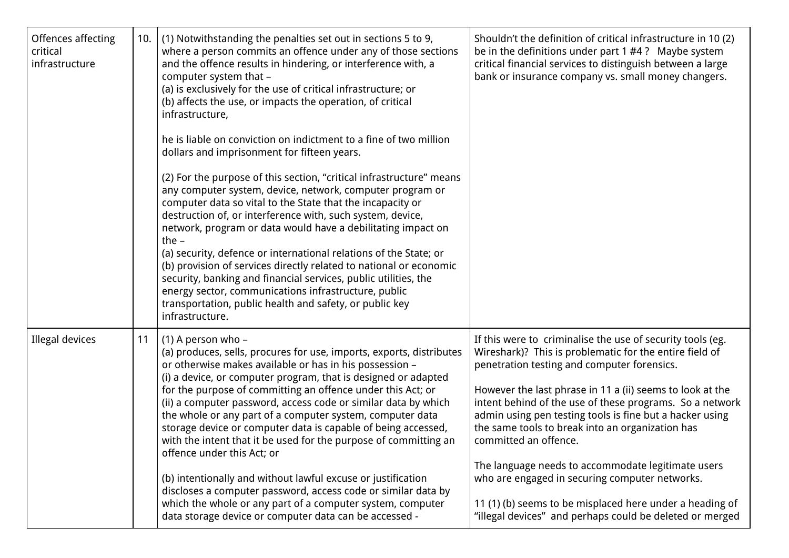| Offences affecting<br>critical<br>infrastructure | 10. | (1) Notwithstanding the penalties set out in sections 5 to 9,<br>where a person commits an offence under any of those sections<br>and the offence results in hindering, or interference with, a<br>computer system that -<br>(a) is exclusively for the use of critical infrastructure; or<br>(b) affects the use, or impacts the operation, of critical<br>infrastructure,<br>he is liable on conviction on indictment to a fine of two million<br>dollars and imprisonment for fifteen years.<br>(2) For the purpose of this section, "critical infrastructure" means<br>any computer system, device, network, computer program or<br>computer data so vital to the State that the incapacity or<br>destruction of, or interference with, such system, device,<br>network, program or data would have a debilitating impact on<br>the $-$<br>(a) security, defence or international relations of the State; or<br>(b) provision of services directly related to national or economic<br>security, banking and financial services, public utilities, the<br>energy sector, communications infrastructure, public<br>transportation, public health and safety, or public key<br>infrastructure. | Shouldn't the definition of critical infrastructure in 10(2)<br>be in the definitions under part $1 \#4$ ? Maybe system<br>critical financial services to distinguish between a large<br>bank or insurance company vs. small money changers.                                                                                                                                                                                                                                                                                                                                                                                                                           |
|--------------------------------------------------|-----|-------------------------------------------------------------------------------------------------------------------------------------------------------------------------------------------------------------------------------------------------------------------------------------------------------------------------------------------------------------------------------------------------------------------------------------------------------------------------------------------------------------------------------------------------------------------------------------------------------------------------------------------------------------------------------------------------------------------------------------------------------------------------------------------------------------------------------------------------------------------------------------------------------------------------------------------------------------------------------------------------------------------------------------------------------------------------------------------------------------------------------------------------------------------------------------------------|------------------------------------------------------------------------------------------------------------------------------------------------------------------------------------------------------------------------------------------------------------------------------------------------------------------------------------------------------------------------------------------------------------------------------------------------------------------------------------------------------------------------------------------------------------------------------------------------------------------------------------------------------------------------|
| Illegal devices                                  | 11  | $(1)$ A person who –<br>(a) produces, sells, procures for use, imports, exports, distributes<br>or otherwise makes available or has in his possession -<br>(i) a device, or computer program, that is designed or adapted<br>for the purpose of committing an offence under this Act; or<br>(ii) a computer password, access code or similar data by which<br>the whole or any part of a computer system, computer data<br>storage device or computer data is capable of being accessed,<br>with the intent that it be used for the purpose of committing an<br>offence under this Act; or<br>(b) intentionally and without lawful excuse or justification<br>discloses a computer password, access code or similar data by<br>which the whole or any part of a computer system, computer<br>data storage device or computer data can be accessed -                                                                                                                                                                                                                                                                                                                                             | If this were to criminalise the use of security tools (eg.<br>Wireshark)? This is problematic for the entire field of<br>penetration testing and computer forensics.<br>However the last phrase in 11 a (ii) seems to look at the<br>intent behind of the use of these programs. So a network<br>admin using pen testing tools is fine but a hacker using<br>the same tools to break into an organization has<br>committed an offence.<br>The language needs to accommodate legitimate users<br>who are engaged in securing computer networks.<br>11 (1) (b) seems to be misplaced here under a heading of<br>"illegal devices" and perhaps could be deleted or merged |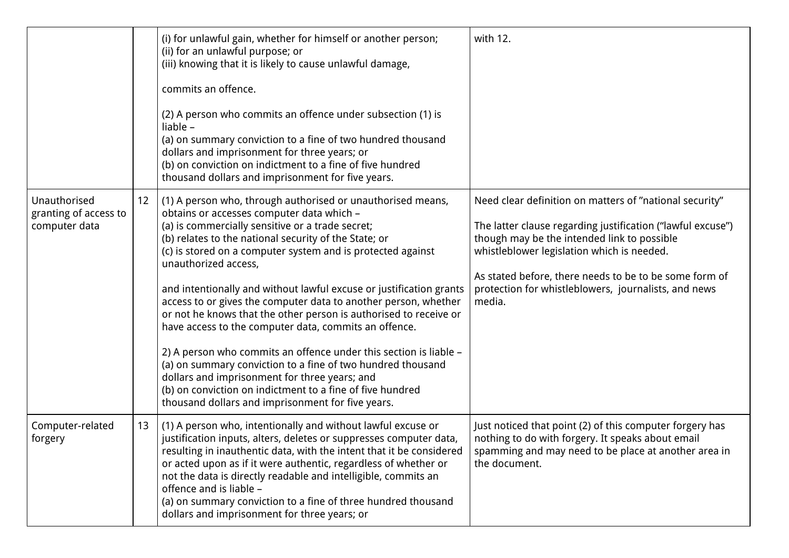|                                                        |    | (i) for unlawful gain, whether for himself or another person;<br>(ii) for an unlawful purpose; or<br>(iii) knowing that it is likely to cause unlawful damage,<br>commits an offence.                                                                                                                                                                                                                                                                                                                                                                                                                                                                                                                                                                                                                                                                                                       | with 12.                                                                                                                                                                                                                                                                                                                                        |
|--------------------------------------------------------|----|---------------------------------------------------------------------------------------------------------------------------------------------------------------------------------------------------------------------------------------------------------------------------------------------------------------------------------------------------------------------------------------------------------------------------------------------------------------------------------------------------------------------------------------------------------------------------------------------------------------------------------------------------------------------------------------------------------------------------------------------------------------------------------------------------------------------------------------------------------------------------------------------|-------------------------------------------------------------------------------------------------------------------------------------------------------------------------------------------------------------------------------------------------------------------------------------------------------------------------------------------------|
|                                                        |    | (2) A person who commits an offence under subsection (1) is<br>liable -<br>(a) on summary conviction to a fine of two hundred thousand<br>dollars and imprisonment for three years; or<br>(b) on conviction on indictment to a fine of five hundred<br>thousand dollars and imprisonment for five years.                                                                                                                                                                                                                                                                                                                                                                                                                                                                                                                                                                                    |                                                                                                                                                                                                                                                                                                                                                 |
| Unauthorised<br>granting of access to<br>computer data | 12 | (1) A person who, through authorised or unauthorised means,<br>obtains or accesses computer data which -<br>(a) is commercially sensitive or a trade secret;<br>(b) relates to the national security of the State; or<br>(c) is stored on a computer system and is protected against<br>unauthorized access,<br>and intentionally and without lawful excuse or justification grants<br>access to or gives the computer data to another person, whether<br>or not he knows that the other person is authorised to receive or<br>have access to the computer data, commits an offence.<br>2) A person who commits an offence under this section is liable -<br>(a) on summary conviction to a fine of two hundred thousand<br>dollars and imprisonment for three years; and<br>(b) on conviction on indictment to a fine of five hundred<br>thousand dollars and imprisonment for five years. | Need clear definition on matters of "national security"<br>The latter clause regarding justification ("lawful excuse")<br>though may be the intended link to possible<br>whistleblower legislation which is needed.<br>As stated before, there needs to be to be some form of<br>protection for whistleblowers, journalists, and news<br>media. |
| Computer-related<br>forgery                            | 13 | (1) A person who, intentionally and without lawful excuse or<br>justification inputs, alters, deletes or suppresses computer data,<br>resulting in inauthentic data, with the intent that it be considered<br>or acted upon as if it were authentic, regardless of whether or<br>not the data is directly readable and intelligible, commits an<br>offence and is liable -<br>(a) on summary conviction to a fine of three hundred thousand<br>dollars and imprisonment for three years; or                                                                                                                                                                                                                                                                                                                                                                                                 | Just noticed that point (2) of this computer forgery has<br>nothing to do with forgery. It speaks about email<br>spamming and may need to be place at another area in<br>the document.                                                                                                                                                          |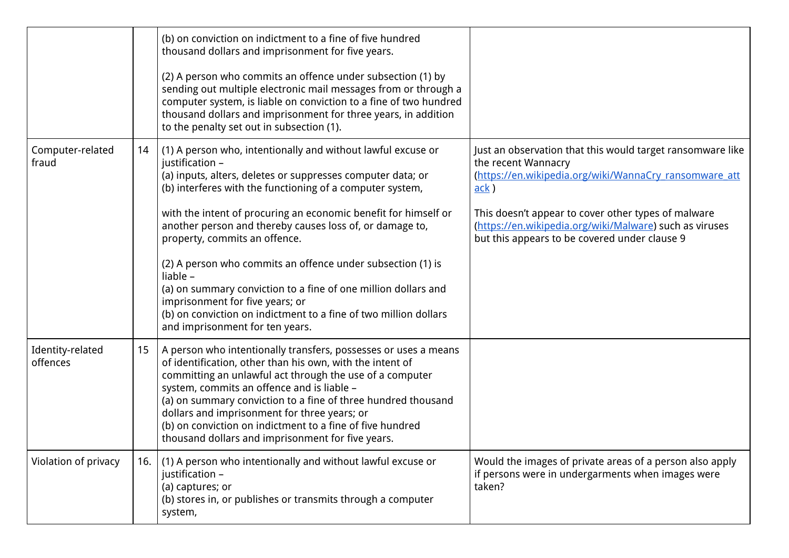|                              |     | (b) on conviction on indictment to a fine of five hundred<br>thousand dollars and imprisonment for five years.<br>(2) A person who commits an offence under subsection (1) by<br>sending out multiple electronic mail messages from or through a<br>computer system, is liable on conviction to a fine of two hundred<br>thousand dollars and imprisonment for three years, in addition<br>to the penalty set out in subsection (1).                                                                                                                                                                                                                               |                                                                                                                                                                                                                                                                                                                        |
|------------------------------|-----|--------------------------------------------------------------------------------------------------------------------------------------------------------------------------------------------------------------------------------------------------------------------------------------------------------------------------------------------------------------------------------------------------------------------------------------------------------------------------------------------------------------------------------------------------------------------------------------------------------------------------------------------------------------------|------------------------------------------------------------------------------------------------------------------------------------------------------------------------------------------------------------------------------------------------------------------------------------------------------------------------|
| Computer-related<br>fraud    | 14  | (1) A person who, intentionally and without lawful excuse or<br>justification -<br>(a) inputs, alters, deletes or suppresses computer data; or<br>(b) interferes with the functioning of a computer system,<br>with the intent of procuring an economic benefit for himself or<br>another person and thereby causes loss of, or damage to,<br>property, commits an offence.<br>(2) A person who commits an offence under subsection (1) is<br>liable -<br>(a) on summary conviction to a fine of one million dollars and<br>imprisonment for five years; or<br>(b) on conviction on indictment to a fine of two million dollars<br>and imprisonment for ten years. | Just an observation that this would target ransomware like<br>the recent Wannacry<br>(https://en.wikipedia.org/wiki/WannaCry ransomware att<br>ack)<br>This doesn't appear to cover other types of malware<br>(https://en.wikipedia.org/wiki/Malware) such as viruses<br>but this appears to be covered under clause 9 |
| Identity-related<br>offences | 15  | A person who intentionally transfers, possesses or uses a means<br>of identification, other than his own, with the intent of<br>committing an unlawful act through the use of a computer<br>system, commits an offence and is liable -<br>(a) on summary conviction to a fine of three hundred thousand<br>dollars and imprisonment for three years; or<br>(b) on conviction on indictment to a fine of five hundred<br>thousand dollars and imprisonment for five years.                                                                                                                                                                                          |                                                                                                                                                                                                                                                                                                                        |
| Violation of privacy         | 16. | (1) A person who intentionally and without lawful excuse or<br>justification -<br>(a) captures; or<br>(b) stores in, or publishes or transmits through a computer<br>system,                                                                                                                                                                                                                                                                                                                                                                                                                                                                                       | Would the images of private areas of a person also apply<br>if persons were in undergarments when images were<br>taken?                                                                                                                                                                                                |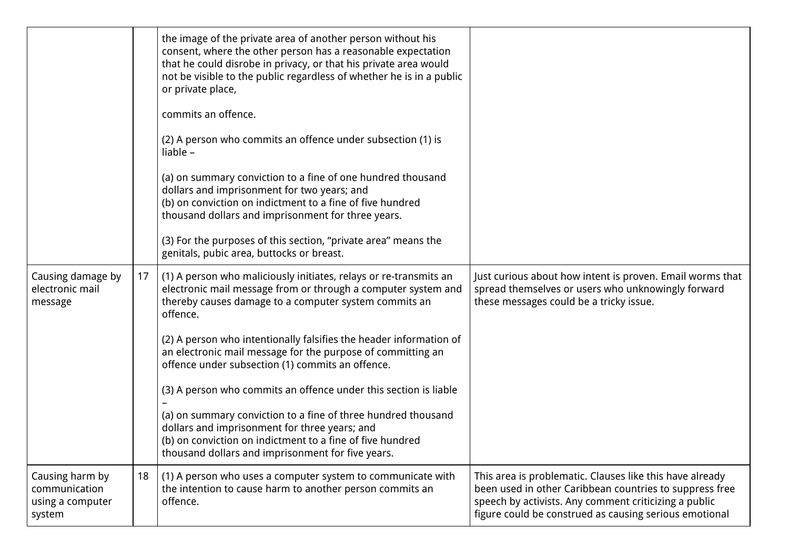|                                                                |    | the image of the private area of another person without his<br>consent, where the other person has a reasonable expectation<br>that he could disrobe in privacy, or that his private area would<br>not be visible to the public regardless of whether he is in a public<br>or private place,<br>commits an offence.<br>(2) A person who commits an offence under subsection (1) is<br>liable $-$<br>(a) on summary conviction to a fine of one hundred thousand<br>dollars and imprisonment for two years; and<br>(b) on conviction on indictment to a fine of five hundred<br>thousand dollars and imprisonment for three years.<br>(3) For the purposes of this section, "private area" means the<br>genitals, pubic area, buttocks or breast. |                                                                                                                                                                                                                                        |
|----------------------------------------------------------------|----|--------------------------------------------------------------------------------------------------------------------------------------------------------------------------------------------------------------------------------------------------------------------------------------------------------------------------------------------------------------------------------------------------------------------------------------------------------------------------------------------------------------------------------------------------------------------------------------------------------------------------------------------------------------------------------------------------------------------------------------------------|----------------------------------------------------------------------------------------------------------------------------------------------------------------------------------------------------------------------------------------|
| Causing damage by<br>electronic mail<br>message                | 17 | (1) A person who maliciously initiates, relays or re-transmits an<br>electronic mail message from or through a computer system and<br>thereby causes damage to a computer system commits an<br>offence.<br>(2) A person who intentionally falsifies the header information of<br>an electronic mail message for the purpose of committing an<br>offence under subsection (1) commits an offence.<br>(3) A person who commits an offence under this section is liable<br>(a) on summary conviction to a fine of three hundred thousand<br>dollars and imprisonment for three years; and<br>(b) on conviction on indictment to a fine of five hundred<br>thousand dollars and imprisonment for five years.                                         | Just curious about how intent is proven. Email worms that<br>spread themselves or users who unknowingly forward<br>these messages could be a tricky issue.                                                                             |
| Causing harm by<br>communication<br>using a computer<br>system | 18 | (1) A person who uses a computer system to communicate with<br>the intention to cause harm to another person commits an<br>offence.                                                                                                                                                                                                                                                                                                                                                                                                                                                                                                                                                                                                              | This area is problematic. Clauses like this have already<br>been used in other Caribbean countries to suppress free<br>speech by activists. Any comment criticizing a public<br>figure could be construed as causing serious emotional |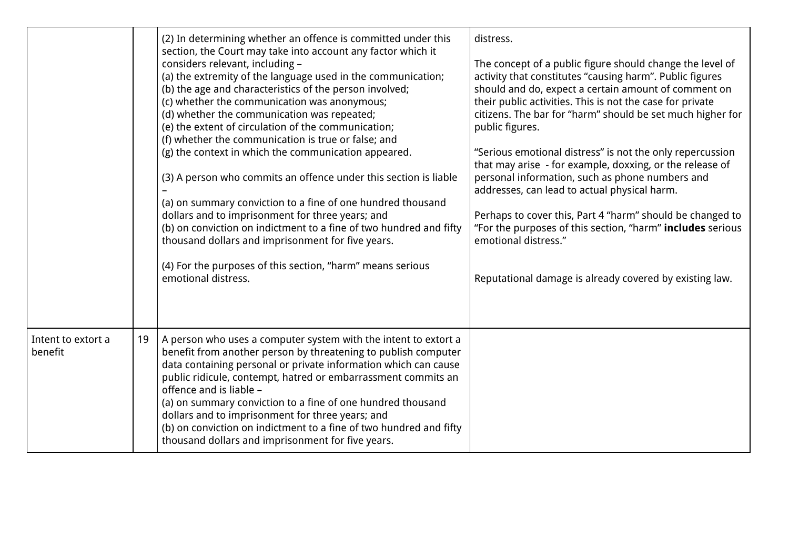|                               |    | (2) In determining whether an offence is committed under this<br>section, the Court may take into account any factor which it<br>considers relevant, including -<br>(a) the extremity of the language used in the communication;<br>(b) the age and characteristics of the person involved;<br>(c) whether the communication was anonymous;<br>(d) whether the communication was repeated;<br>(e) the extent of circulation of the communication;<br>(f) whether the communication is true or false; and<br>(g) the context in which the communication appeared.<br>(3) A person who commits an offence under this section is liable<br>(a) on summary conviction to a fine of one hundred thousand<br>dollars and to imprisonment for three years; and<br>(b) on conviction on indictment to a fine of two hundred and fifty<br>thousand dollars and imprisonment for five years.<br>(4) For the purposes of this section, "harm" means serious<br>emotional distress. | distress.<br>The concept of a public figure should change the level of<br>activity that constitutes "causing harm". Public figures<br>should and do, expect a certain amount of comment on<br>their public activities. This is not the case for private<br>citizens. The bar for "harm" should be set much higher for<br>public figures.<br>"Serious emotional distress" is not the only repercussion<br>that may arise - for example, doxxing, or the release of<br>personal information, such as phone numbers and<br>addresses, can lead to actual physical harm.<br>Perhaps to cover this, Part 4 "harm" should be changed to<br>"For the purposes of this section, "harm" includes serious<br>emotional distress."<br>Reputational damage is already covered by existing law. |
|-------------------------------|----|-------------------------------------------------------------------------------------------------------------------------------------------------------------------------------------------------------------------------------------------------------------------------------------------------------------------------------------------------------------------------------------------------------------------------------------------------------------------------------------------------------------------------------------------------------------------------------------------------------------------------------------------------------------------------------------------------------------------------------------------------------------------------------------------------------------------------------------------------------------------------------------------------------------------------------------------------------------------------|------------------------------------------------------------------------------------------------------------------------------------------------------------------------------------------------------------------------------------------------------------------------------------------------------------------------------------------------------------------------------------------------------------------------------------------------------------------------------------------------------------------------------------------------------------------------------------------------------------------------------------------------------------------------------------------------------------------------------------------------------------------------------------|
| Intent to extort a<br>benefit | 19 | A person who uses a computer system with the intent to extort a<br>benefit from another person by threatening to publish computer<br>data containing personal or private information which can cause<br>public ridicule, contempt, hatred or embarrassment commits an<br>offence and is liable -<br>(a) on summary conviction to a fine of one hundred thousand<br>dollars and to imprisonment for three years; and<br>(b) on conviction on indictment to a fine of two hundred and fifty<br>thousand dollars and imprisonment for five years.                                                                                                                                                                                                                                                                                                                                                                                                                          |                                                                                                                                                                                                                                                                                                                                                                                                                                                                                                                                                                                                                                                                                                                                                                                    |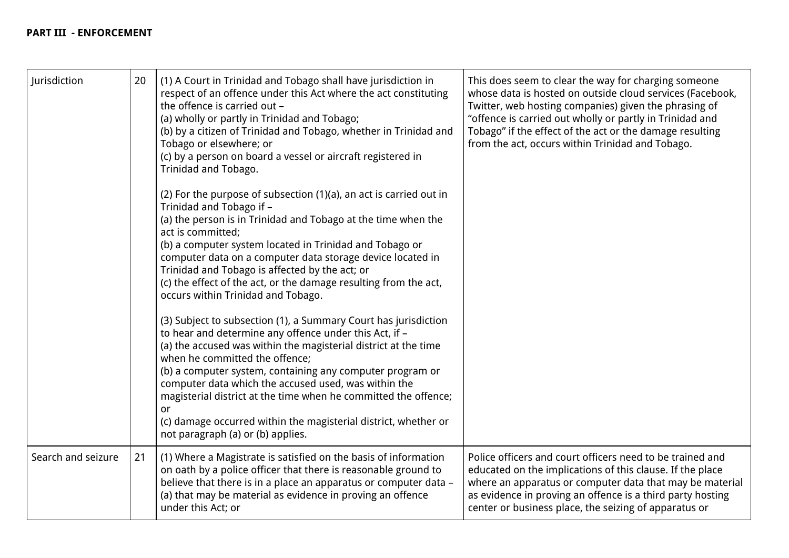# **PART III - ENFORCEMENT**

| Jurisdiction       | 20 | (1) A Court in Trinidad and Tobago shall have jurisdiction in<br>respect of an offence under this Act where the act constituting<br>the offence is carried out -<br>(a) wholly or partly in Trinidad and Tobago;<br>(b) by a citizen of Trinidad and Tobago, whether in Trinidad and<br>Tobago or elsewhere; or<br>(c) by a person on board a vessel or aircraft registered in<br>Trinidad and Tobago.<br>(2) For the purpose of subsection (1)(a), an act is carried out in<br>Trinidad and Tobago if -<br>(a) the person is in Trinidad and Tobago at the time when the<br>act is committed;<br>(b) a computer system located in Trinidad and Tobago or<br>computer data on a computer data storage device located in<br>Trinidad and Tobago is affected by the act; or<br>(c) the effect of the act, or the damage resulting from the act,<br>occurs within Trinidad and Tobago.<br>(3) Subject to subsection (1), a Summary Court has jurisdiction<br>to hear and determine any offence under this Act, if -<br>(a) the accused was within the magisterial district at the time<br>when he committed the offence;<br>(b) a computer system, containing any computer program or<br>computer data which the accused used, was within the<br>magisterial district at the time when he committed the offence;<br>or<br>(c) damage occurred within the magisterial district, whether or<br>not paragraph (a) or (b) applies. | This does seem to clear the way for charging someone<br>whose data is hosted on outside cloud services (Facebook,<br>Twitter, web hosting companies) given the phrasing of<br>"offence is carried out wholly or partly in Trinidad and<br>Tobago" if the effect of the act or the damage resulting<br>from the act, occurs within Trinidad and Tobago. |
|--------------------|----|-----------------------------------------------------------------------------------------------------------------------------------------------------------------------------------------------------------------------------------------------------------------------------------------------------------------------------------------------------------------------------------------------------------------------------------------------------------------------------------------------------------------------------------------------------------------------------------------------------------------------------------------------------------------------------------------------------------------------------------------------------------------------------------------------------------------------------------------------------------------------------------------------------------------------------------------------------------------------------------------------------------------------------------------------------------------------------------------------------------------------------------------------------------------------------------------------------------------------------------------------------------------------------------------------------------------------------------------------------------------------------------------------------------------------------|--------------------------------------------------------------------------------------------------------------------------------------------------------------------------------------------------------------------------------------------------------------------------------------------------------------------------------------------------------|
| Search and seizure | 21 | (1) Where a Magistrate is satisfied on the basis of information<br>on oath by a police officer that there is reasonable ground to<br>believe that there is in a place an apparatus or computer data -<br>(a) that may be material as evidence in proving an offence<br>under this Act; or                                                                                                                                                                                                                                                                                                                                                                                                                                                                                                                                                                                                                                                                                                                                                                                                                                                                                                                                                                                                                                                                                                                                   | Police officers and court officers need to be trained and<br>educated on the implications of this clause. If the place<br>where an apparatus or computer data that may be material<br>as evidence in proving an offence is a third party hosting<br>center or business place, the seizing of apparatus or                                              |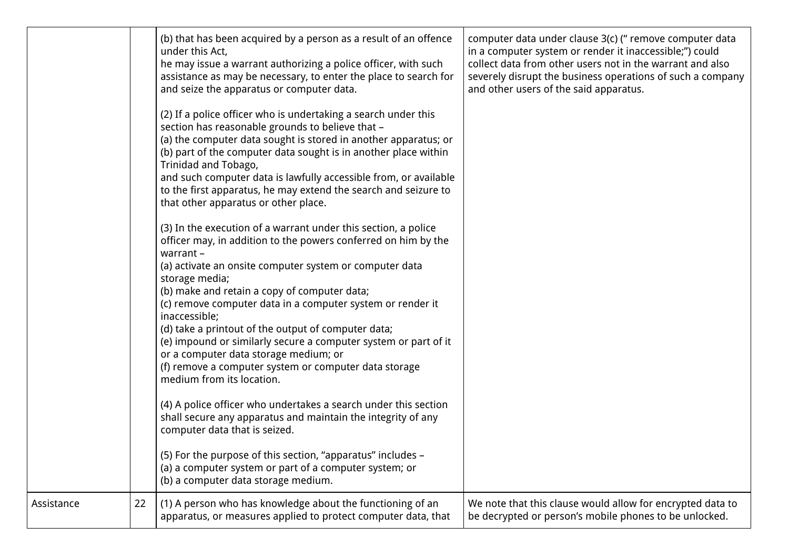|            |    | (b) that has been acquired by a person as a result of an offence<br>under this Act,<br>he may issue a warrant authorizing a police officer, with such<br>assistance as may be necessary, to enter the place to search for<br>and seize the apparatus or computer data.<br>(2) If a police officer who is undertaking a search under this<br>section has reasonable grounds to believe that -<br>(a) the computer data sought is stored in another apparatus; or<br>(b) part of the computer data sought is in another place within<br>Trinidad and Tobago,<br>and such computer data is lawfully accessible from, or available<br>to the first apparatus, he may extend the search and seizure to<br>that other apparatus or other place.<br>(3) In the execution of a warrant under this section, a police<br>officer may, in addition to the powers conferred on him by the<br>warrant -<br>(a) activate an onsite computer system or computer data<br>storage media;<br>(b) make and retain a copy of computer data;<br>(c) remove computer data in a computer system or render it<br>inaccessible;<br>(d) take a printout of the output of computer data;<br>(e) impound or similarly secure a computer system or part of it<br>or a computer data storage medium; or<br>(f) remove a computer system or computer data storage<br>medium from its location.<br>(4) A police officer who undertakes a search under this section<br>shall secure any apparatus and maintain the integrity of any<br>computer data that is seized.<br>(5) For the purpose of this section, "apparatus" includes -<br>(a) a computer system or part of a computer system; or<br>(b) a computer data storage medium. | computer data under clause 3(c) ("remove computer data<br>in a computer system or render it inaccessible;") could<br>collect data from other users not in the warrant and also<br>severely disrupt the business operations of such a company<br>and other users of the said apparatus. |
|------------|----|-----------------------------------------------------------------------------------------------------------------------------------------------------------------------------------------------------------------------------------------------------------------------------------------------------------------------------------------------------------------------------------------------------------------------------------------------------------------------------------------------------------------------------------------------------------------------------------------------------------------------------------------------------------------------------------------------------------------------------------------------------------------------------------------------------------------------------------------------------------------------------------------------------------------------------------------------------------------------------------------------------------------------------------------------------------------------------------------------------------------------------------------------------------------------------------------------------------------------------------------------------------------------------------------------------------------------------------------------------------------------------------------------------------------------------------------------------------------------------------------------------------------------------------------------------------------------------------------------------------------------------------------------------------------------------------------------------|----------------------------------------------------------------------------------------------------------------------------------------------------------------------------------------------------------------------------------------------------------------------------------------|
| Assistance | 22 | (1) A person who has knowledge about the functioning of an<br>apparatus, or measures applied to protect computer data, that                                                                                                                                                                                                                                                                                                                                                                                                                                                                                                                                                                                                                                                                                                                                                                                                                                                                                                                                                                                                                                                                                                                                                                                                                                                                                                                                                                                                                                                                                                                                                                         | We note that this clause would allow for encrypted data to<br>be decrypted or person's mobile phones to be unlocked.                                                                                                                                                                   |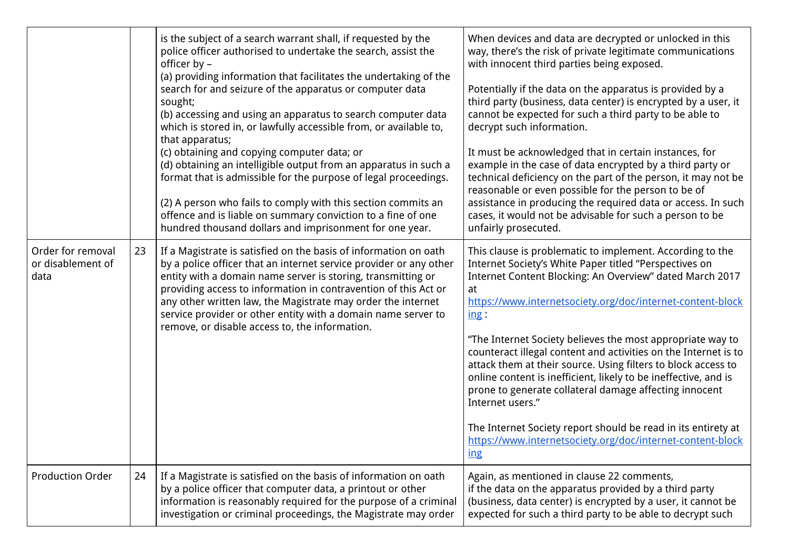|                                                |    | is the subject of a search warrant shall, if requested by the<br>police officer authorised to undertake the search, assist the<br>officer by -<br>(a) providing information that facilitates the undertaking of the<br>search for and seizure of the apparatus or computer data<br>sought;<br>(b) accessing and using an apparatus to search computer data<br>which is stored in, or lawfully accessible from, or available to,<br>that apparatus;<br>(c) obtaining and copying computer data; or<br>(d) obtaining an intelligible output from an apparatus in such a<br>format that is admissible for the purpose of legal proceedings.<br>(2) A person who fails to comply with this section commits an<br>offence and is liable on summary conviction to a fine of one<br>hundred thousand dollars and imprisonment for one year. | When devices and data are decrypted or unlocked in this<br>way, there's the risk of private legitimate communications<br>with innocent third parties being exposed.<br>Potentially if the data on the apparatus is provided by a<br>third party (business, data center) is encrypted by a user, it<br>cannot be expected for such a third party to be able to<br>decrypt such information.<br>It must be acknowledged that in certain instances, for<br>example in the case of data encrypted by a third party or<br>technical deficiency on the part of the person, it may not be<br>reasonable or even possible for the person to be of<br>assistance in producing the required data or access. In such<br>cases, it would not be advisable for such a person to be<br>unfairly prosecuted. |
|------------------------------------------------|----|--------------------------------------------------------------------------------------------------------------------------------------------------------------------------------------------------------------------------------------------------------------------------------------------------------------------------------------------------------------------------------------------------------------------------------------------------------------------------------------------------------------------------------------------------------------------------------------------------------------------------------------------------------------------------------------------------------------------------------------------------------------------------------------------------------------------------------------|-----------------------------------------------------------------------------------------------------------------------------------------------------------------------------------------------------------------------------------------------------------------------------------------------------------------------------------------------------------------------------------------------------------------------------------------------------------------------------------------------------------------------------------------------------------------------------------------------------------------------------------------------------------------------------------------------------------------------------------------------------------------------------------------------|
| Order for removal<br>or disablement of<br>data | 23 | If a Magistrate is satisfied on the basis of information on oath<br>by a police officer that an internet service provider or any other<br>entity with a domain name server is storing, transmitting or<br>providing access to information in contravention of this Act or<br>any other written law, the Magistrate may order the internet<br>service provider or other entity with a domain name server to<br>remove, or disable access to, the information.                                                                                                                                                                                                                                                                                                                                                                         | This clause is problematic to implement. According to the<br>Internet Society's White Paper titled "Perspectives on<br>Internet Content Blocking: An Overview" dated March 2017<br>at<br>https://www.internetsociety.org/doc/internet-content-block<br>ing:<br>"The Internet Society believes the most appropriate way to<br>counteract illegal content and activities on the Internet is to<br>attack them at their source. Using filters to block access to<br>online content is inefficient, likely to be ineffective, and is<br>prone to generate collateral damage affecting innocent<br>Internet users."<br>The Internet Society report should be read in its entirety at<br>https://www.internetsociety.org/doc/internet-content-block<br>$\frac{ing}{ing}$                            |
| <b>Production Order</b>                        | 24 | If a Magistrate is satisfied on the basis of information on oath<br>by a police officer that computer data, a printout or other<br>information is reasonably required for the purpose of a criminal<br>investigation or criminal proceedings, the Magistrate may order                                                                                                                                                                                                                                                                                                                                                                                                                                                                                                                                                               | Again, as mentioned in clause 22 comments,<br>if the data on the apparatus provided by a third party<br>(business, data center) is encrypted by a user, it cannot be<br>expected for such a third party to be able to decrypt such                                                                                                                                                                                                                                                                                                                                                                                                                                                                                                                                                            |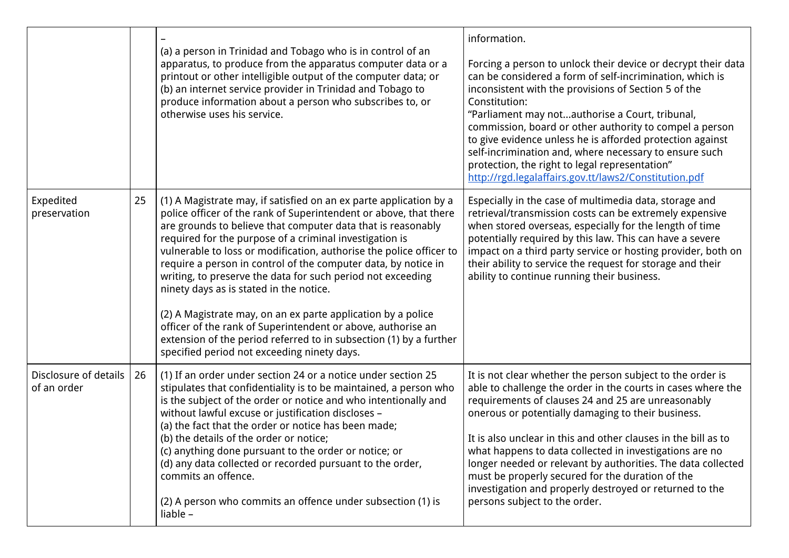|                                      |    | (a) a person in Trinidad and Tobago who is in control of an<br>apparatus, to produce from the apparatus computer data or a<br>printout or other intelligible output of the computer data; or<br>(b) an internet service provider in Trinidad and Tobago to<br>produce information about a person who subscribes to, or<br>otherwise uses his service.                                                                                                                                                                                                                                                                                                                                                                                                                      | information.<br>Forcing a person to unlock their device or decrypt their data<br>can be considered a form of self-incrimination, which is<br>inconsistent with the provisions of Section 5 of the<br>Constitution:<br>"Parliament may notauthorise a Court, tribunal,<br>commission, board or other authority to compel a person<br>to give evidence unless he is afforded protection against<br>self-incrimination and, where necessary to ensure such<br>protection, the right to legal representation"<br>http://rgd.legalaffairs.gov.tt/laws2/Constitution.pdf                  |
|--------------------------------------|----|----------------------------------------------------------------------------------------------------------------------------------------------------------------------------------------------------------------------------------------------------------------------------------------------------------------------------------------------------------------------------------------------------------------------------------------------------------------------------------------------------------------------------------------------------------------------------------------------------------------------------------------------------------------------------------------------------------------------------------------------------------------------------|-------------------------------------------------------------------------------------------------------------------------------------------------------------------------------------------------------------------------------------------------------------------------------------------------------------------------------------------------------------------------------------------------------------------------------------------------------------------------------------------------------------------------------------------------------------------------------------|
| Expedited<br>preservation            | 25 | (1) A Magistrate may, if satisfied on an ex parte application by a<br>police officer of the rank of Superintendent or above, that there<br>are grounds to believe that computer data that is reasonably<br>required for the purpose of a criminal investigation is<br>vulnerable to loss or modification, authorise the police officer to<br>require a person in control of the computer data, by notice in<br>writing, to preserve the data for such period not exceeding<br>ninety days as is stated in the notice.<br>(2) A Magistrate may, on an ex parte application by a police<br>officer of the rank of Superintendent or above, authorise an<br>extension of the period referred to in subsection (1) by a further<br>specified period not exceeding ninety days. | Especially in the case of multimedia data, storage and<br>retrieval/transmission costs can be extremely expensive<br>when stored overseas, especially for the length of time<br>potentially required by this law. This can have a severe<br>impact on a third party service or hosting provider, both on<br>their ability to service the request for storage and their<br>ability to continue running their business.                                                                                                                                                               |
| Disclosure of details<br>of an order | 26 | (1) If an order under section 24 or a notice under section 25<br>stipulates that confidentiality is to be maintained, a person who<br>is the subject of the order or notice and who intentionally and<br>without lawful excuse or justification discloses -<br>(a) the fact that the order or notice has been made;<br>(b) the details of the order or notice;<br>(c) anything done pursuant to the order or notice; or<br>(d) any data collected or recorded pursuant to the order,<br>commits an offence.<br>(2) A person who commits an offence under subsection (1) is<br>liable -                                                                                                                                                                                     | It is not clear whether the person subject to the order is<br>able to challenge the order in the courts in cases where the<br>requirements of clauses 24 and 25 are unreasonably<br>onerous or potentially damaging to their business.<br>It is also unclear in this and other clauses in the bill as to<br>what happens to data collected in investigations are no<br>longer needed or relevant by authorities. The data collected<br>must be properly secured for the duration of the<br>investigation and properly destroyed or returned to the<br>persons subject to the order. |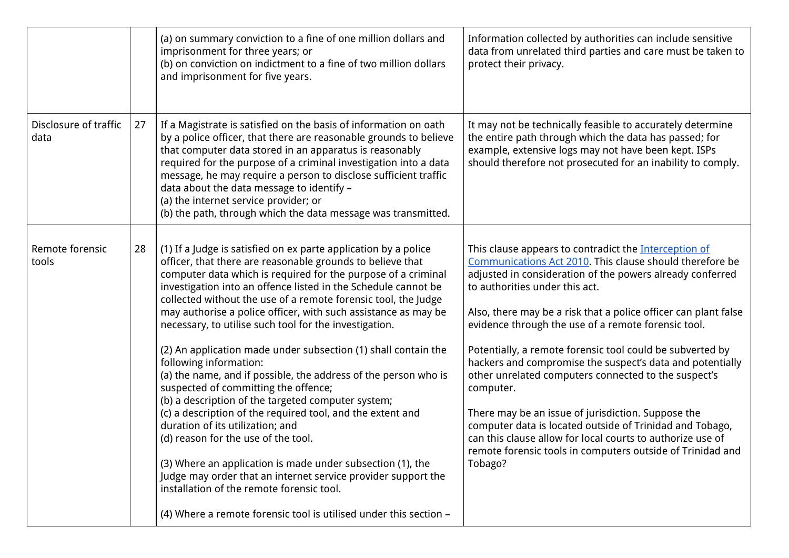|                               |    | (a) on summary conviction to a fine of one million dollars and<br>imprisonment for three years; or<br>(b) on conviction on indictment to a fine of two million dollars<br>and imprisonment for five years.                                                                                                                                                                                                                                                                                                                                                                                                                                                                                                                                                                                                                                                                                                                                                                                                                                       | Information collected by authorities can include sensitive<br>data from unrelated third parties and care must be taken to<br>protect their privacy.                                                                                                                                                                                                                                                                                                                                                                                                                                                                                                                                                                                                                                                |
|-------------------------------|----|--------------------------------------------------------------------------------------------------------------------------------------------------------------------------------------------------------------------------------------------------------------------------------------------------------------------------------------------------------------------------------------------------------------------------------------------------------------------------------------------------------------------------------------------------------------------------------------------------------------------------------------------------------------------------------------------------------------------------------------------------------------------------------------------------------------------------------------------------------------------------------------------------------------------------------------------------------------------------------------------------------------------------------------------------|----------------------------------------------------------------------------------------------------------------------------------------------------------------------------------------------------------------------------------------------------------------------------------------------------------------------------------------------------------------------------------------------------------------------------------------------------------------------------------------------------------------------------------------------------------------------------------------------------------------------------------------------------------------------------------------------------------------------------------------------------------------------------------------------------|
| Disclosure of traffic<br>data | 27 | If a Magistrate is satisfied on the basis of information on oath<br>by a police officer, that there are reasonable grounds to believe<br>that computer data stored in an apparatus is reasonably<br>required for the purpose of a criminal investigation into a data<br>message, he may require a person to disclose sufficient traffic<br>data about the data message to identify -<br>(a) the internet service provider; or<br>(b) the path, through which the data message was transmitted.                                                                                                                                                                                                                                                                                                                                                                                                                                                                                                                                                   | It may not be technically feasible to accurately determine<br>the entire path through which the data has passed; for<br>example, extensive logs may not have been kept. ISPs<br>should therefore not prosecuted for an inability to comply.                                                                                                                                                                                                                                                                                                                                                                                                                                                                                                                                                        |
| Remote forensic<br>tools      | 28 | (1) If a Judge is satisfied on ex parte application by a police<br>officer, that there are reasonable grounds to believe that<br>computer data which is required for the purpose of a criminal<br>investigation into an offence listed in the Schedule cannot be<br>collected without the use of a remote forensic tool, the Judge<br>may authorise a police officer, with such assistance as may be<br>necessary, to utilise such tool for the investigation.<br>(2) An application made under subsection (1) shall contain the<br>following information:<br>(a) the name, and if possible, the address of the person who is<br>suspected of committing the offence;<br>(b) a description of the targeted computer system;<br>(c) a description of the required tool, and the extent and<br>duration of its utilization; and<br>(d) reason for the use of the tool.<br>(3) Where an application is made under subsection (1), the<br>Judge may order that an internet service provider support the<br>installation of the remote forensic tool. | This clause appears to contradict the Interception of<br>Communications Act 2010. This clause should therefore be<br>adjusted in consideration of the powers already conferred<br>to authorities under this act.<br>Also, there may be a risk that a police officer can plant false<br>evidence through the use of a remote forensic tool.<br>Potentially, a remote forensic tool could be subverted by<br>hackers and compromise the suspect's data and potentially<br>other unrelated computers connected to the suspect's<br>computer.<br>There may be an issue of jurisdiction. Suppose the<br>computer data is located outside of Trinidad and Tobago,<br>can this clause allow for local courts to authorize use of<br>remote forensic tools in computers outside of Trinidad and<br>Tobago? |
|                               |    | (4) Where a remote forensic tool is utilised under this section -                                                                                                                                                                                                                                                                                                                                                                                                                                                                                                                                                                                                                                                                                                                                                                                                                                                                                                                                                                                |                                                                                                                                                                                                                                                                                                                                                                                                                                                                                                                                                                                                                                                                                                                                                                                                    |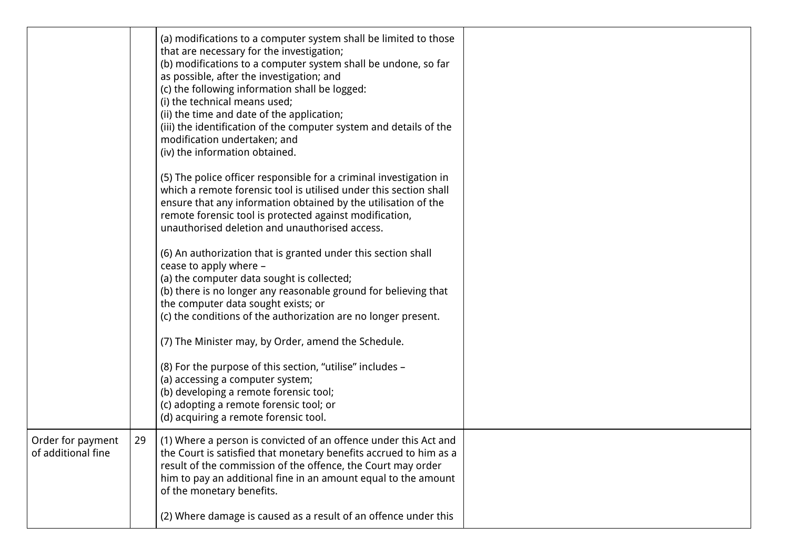|                                         |    | (a) modifications to a computer system shall be limited to those<br>that are necessary for the investigation;<br>(b) modifications to a computer system shall be undone, so far<br>as possible, after the investigation; and<br>(c) the following information shall be logged:<br>(i) the technical means used;<br>(ii) the time and date of the application;<br>(iii) the identification of the computer system and details of the<br>modification undertaken; and<br>(iv) the information obtained.<br>(5) The police officer responsible for a criminal investigation in<br>which a remote forensic tool is utilised under this section shall<br>ensure that any information obtained by the utilisation of the<br>remote forensic tool is protected against modification,<br>unauthorised deletion and unauthorised access.<br>(6) An authorization that is granted under this section shall<br>cease to apply where -<br>(a) the computer data sought is collected;<br>(b) there is no longer any reasonable ground for believing that<br>the computer data sought exists; or<br>(c) the conditions of the authorization are no longer present.<br>(7) The Minister may, by Order, amend the Schedule.<br>(8) For the purpose of this section, "utilise" includes -<br>(a) accessing a computer system;<br>(b) developing a remote forensic tool;<br>(c) adopting a remote forensic tool; or<br>(d) acquiring a remote forensic tool. |  |
|-----------------------------------------|----|--------------------------------------------------------------------------------------------------------------------------------------------------------------------------------------------------------------------------------------------------------------------------------------------------------------------------------------------------------------------------------------------------------------------------------------------------------------------------------------------------------------------------------------------------------------------------------------------------------------------------------------------------------------------------------------------------------------------------------------------------------------------------------------------------------------------------------------------------------------------------------------------------------------------------------------------------------------------------------------------------------------------------------------------------------------------------------------------------------------------------------------------------------------------------------------------------------------------------------------------------------------------------------------------------------------------------------------------------------------------------------------------------------------------------------------------|--|
| Order for payment<br>of additional fine | 29 | (1) Where a person is convicted of an offence under this Act and<br>the Court is satisfied that monetary benefits accrued to him as a<br>result of the commission of the offence, the Court may order<br>him to pay an additional fine in an amount equal to the amount<br>of the monetary benefits.<br>(2) Where damage is caused as a result of an offence under this                                                                                                                                                                                                                                                                                                                                                                                                                                                                                                                                                                                                                                                                                                                                                                                                                                                                                                                                                                                                                                                                    |  |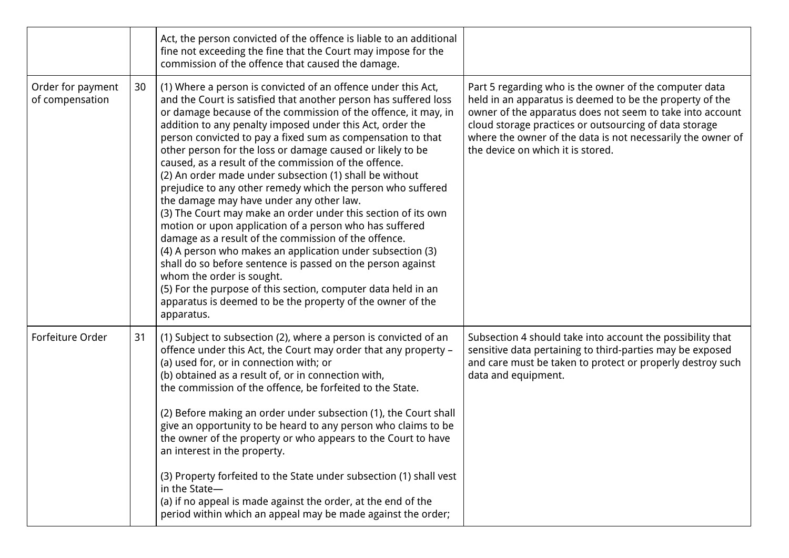|                                      |    | Act, the person convicted of the offence is liable to an additional<br>fine not exceeding the fine that the Court may impose for the<br>commission of the offence that caused the damage.                                                                                                                                                                                                                                                                                                                                                                                                                                                                                                                                                                                                                                                                                                                                                                                                                                                                                                                               |                                                                                                                                                                                                                                                                                                                                               |
|--------------------------------------|----|-------------------------------------------------------------------------------------------------------------------------------------------------------------------------------------------------------------------------------------------------------------------------------------------------------------------------------------------------------------------------------------------------------------------------------------------------------------------------------------------------------------------------------------------------------------------------------------------------------------------------------------------------------------------------------------------------------------------------------------------------------------------------------------------------------------------------------------------------------------------------------------------------------------------------------------------------------------------------------------------------------------------------------------------------------------------------------------------------------------------------|-----------------------------------------------------------------------------------------------------------------------------------------------------------------------------------------------------------------------------------------------------------------------------------------------------------------------------------------------|
| Order for payment<br>of compensation | 30 | (1) Where a person is convicted of an offence under this Act,<br>and the Court is satisfied that another person has suffered loss<br>or damage because of the commission of the offence, it may, in<br>addition to any penalty imposed under this Act, order the<br>person convicted to pay a fixed sum as compensation to that<br>other person for the loss or damage caused or likely to be<br>caused, as a result of the commission of the offence.<br>(2) An order made under subsection (1) shall be without<br>prejudice to any other remedy which the person who suffered<br>the damage may have under any other law.<br>(3) The Court may make an order under this section of its own<br>motion or upon application of a person who has suffered<br>damage as a result of the commission of the offence.<br>(4) A person who makes an application under subsection (3)<br>shall do so before sentence is passed on the person against<br>whom the order is sought.<br>(5) For the purpose of this section, computer data held in an<br>apparatus is deemed to be the property of the owner of the<br>apparatus. | Part 5 regarding who is the owner of the computer data<br>held in an apparatus is deemed to be the property of the<br>owner of the apparatus does not seem to take into account<br>cloud storage practices or outsourcing of data storage<br>where the owner of the data is not necessarily the owner of<br>the device on which it is stored. |
| Forfeiture Order                     | 31 | (1) Subject to subsection (2), where a person is convicted of an<br>offence under this Act, the Court may order that any property -<br>(a) used for, or in connection with; or<br>(b) obtained as a result of, or in connection with,<br>the commission of the offence, be forfeited to the State.<br>(2) Before making an order under subsection (1), the Court shall<br>give an opportunity to be heard to any person who claims to be<br>the owner of the property or who appears to the Court to have<br>an interest in the property.<br>(3) Property forfeited to the State under subsection (1) shall vest<br>in the State-<br>(a) if no appeal is made against the order, at the end of the<br>period within which an appeal may be made against the order;                                                                                                                                                                                                                                                                                                                                                      | Subsection 4 should take into account the possibility that<br>sensitive data pertaining to third-parties may be exposed<br>and care must be taken to protect or properly destroy such<br>data and equipment.                                                                                                                                  |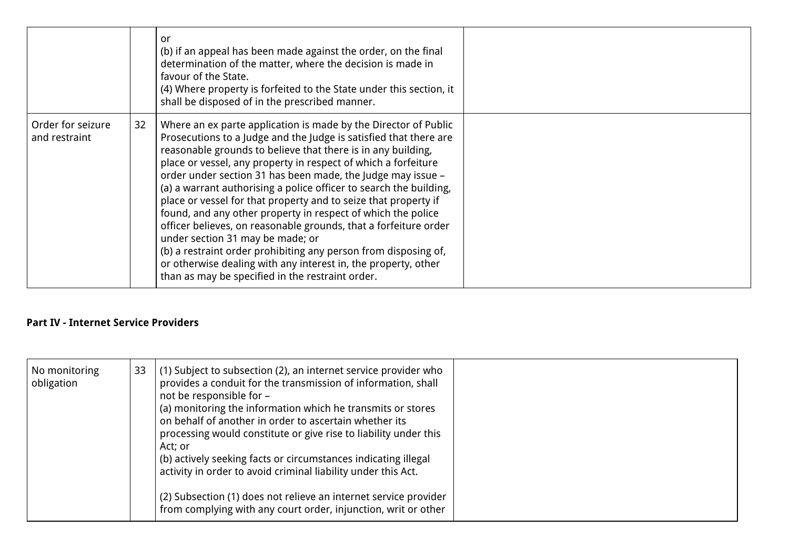|                                    |    | or<br>(b) if an appeal has been made against the order, on the final<br>determination of the matter, where the decision is made in<br>favour of the State.<br>(4) Where property is forfeited to the State under this section, it<br>shall be disposed of in the prescribed manner.                                                                                                                                                                                                                                                                                                                                                                                                                                                                                                                                                             |  |
|------------------------------------|----|-------------------------------------------------------------------------------------------------------------------------------------------------------------------------------------------------------------------------------------------------------------------------------------------------------------------------------------------------------------------------------------------------------------------------------------------------------------------------------------------------------------------------------------------------------------------------------------------------------------------------------------------------------------------------------------------------------------------------------------------------------------------------------------------------------------------------------------------------|--|
| Order for seizure<br>and restraint | 32 | Where an ex parte application is made by the Director of Public<br>Prosecutions to a Judge and the Judge is satisfied that there are<br>reasonable grounds to believe that there is in any building,<br>place or vessel, any property in respect of which a forfeiture<br>order under section 31 has been made, the Judge may issue -<br>(a) a warrant authorising a police officer to search the building,<br>place or vessel for that property and to seize that property if<br>found, and any other property in respect of which the police<br>officer believes, on reasonable grounds, that a forfeiture order<br>under section 31 may be made; or<br>(b) a restraint order prohibiting any person from disposing of,<br>or otherwise dealing with any interest in, the property, other<br>than as may be specified in the restraint order. |  |

### **Part IV - Internet Service Providers**

| No monitoring<br>obligation | 33 | (1) Subject to subsection (2), an internet service provider who<br>provides a conduit for the transmission of information, shall<br>not be responsible for -<br>(a) monitoring the information which he transmits or stores<br>on behalf of another in order to ascertain whether its<br>processing would constitute or give rise to liability under this<br>Act; or<br>(b) actively seeking facts or circumstances indicating illegal<br>activity in order to avoid criminal liability under this Act. |  |
|-----------------------------|----|---------------------------------------------------------------------------------------------------------------------------------------------------------------------------------------------------------------------------------------------------------------------------------------------------------------------------------------------------------------------------------------------------------------------------------------------------------------------------------------------------------|--|
|                             |    | (2) Subsection (1) does not relieve an internet service provider<br>from complying with any court order, injunction, writ or other                                                                                                                                                                                                                                                                                                                                                                      |  |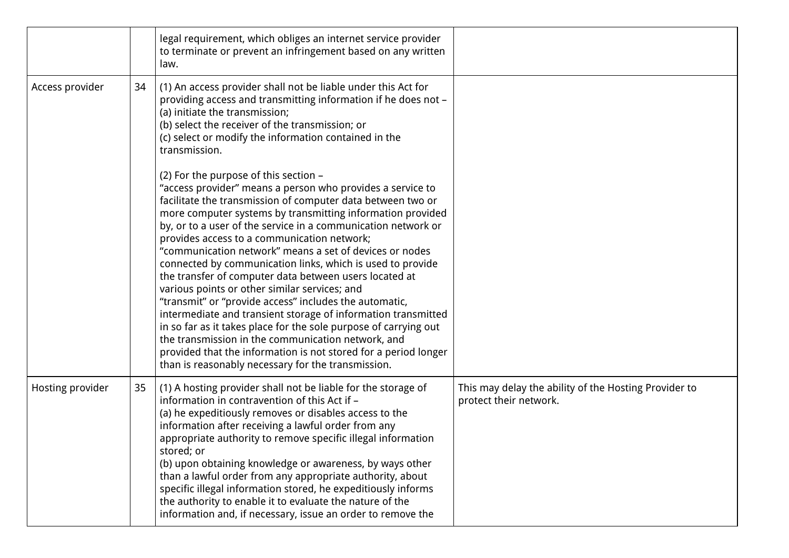|                  |    | legal requirement, which obliges an internet service provider<br>to terminate or prevent an infringement based on any written<br>law.                                                                                                                                                                                                                                                                                                                                                                                                                                                                                                                                                                                                                                                                                                                                                                                                                              |                                                                                 |
|------------------|----|--------------------------------------------------------------------------------------------------------------------------------------------------------------------------------------------------------------------------------------------------------------------------------------------------------------------------------------------------------------------------------------------------------------------------------------------------------------------------------------------------------------------------------------------------------------------------------------------------------------------------------------------------------------------------------------------------------------------------------------------------------------------------------------------------------------------------------------------------------------------------------------------------------------------------------------------------------------------|---------------------------------------------------------------------------------|
| Access provider  | 34 | (1) An access provider shall not be liable under this Act for<br>providing access and transmitting information if he does not -<br>(a) initiate the transmission;<br>(b) select the receiver of the transmission; or<br>(c) select or modify the information contained in the<br>transmission.                                                                                                                                                                                                                                                                                                                                                                                                                                                                                                                                                                                                                                                                     |                                                                                 |
|                  |    | (2) For the purpose of this section -<br>"access provider" means a person who provides a service to<br>facilitate the transmission of computer data between two or<br>more computer systems by transmitting information provided<br>by, or to a user of the service in a communication network or<br>provides access to a communication network;<br>"communication network" means a set of devices or nodes<br>connected by communication links, which is used to provide<br>the transfer of computer data between users located at<br>various points or other similar services; and<br>"transmit" or "provide access" includes the automatic,<br>intermediate and transient storage of information transmitted<br>in so far as it takes place for the sole purpose of carrying out<br>the transmission in the communication network, and<br>provided that the information is not stored for a period longer<br>than is reasonably necessary for the transmission. |                                                                                 |
| Hosting provider | 35 | (1) A hosting provider shall not be liable for the storage of<br>information in contravention of this Act if -<br>(a) he expeditiously removes or disables access to the<br>information after receiving a lawful order from any<br>appropriate authority to remove specific illegal information<br>stored; or<br>(b) upon obtaining knowledge or awareness, by ways other<br>than a lawful order from any appropriate authority, about<br>specific illegal information stored, he expeditiously informs<br>the authority to enable it to evaluate the nature of the<br>information and, if necessary, issue an order to remove the                                                                                                                                                                                                                                                                                                                                 | This may delay the ability of the Hosting Provider to<br>protect their network. |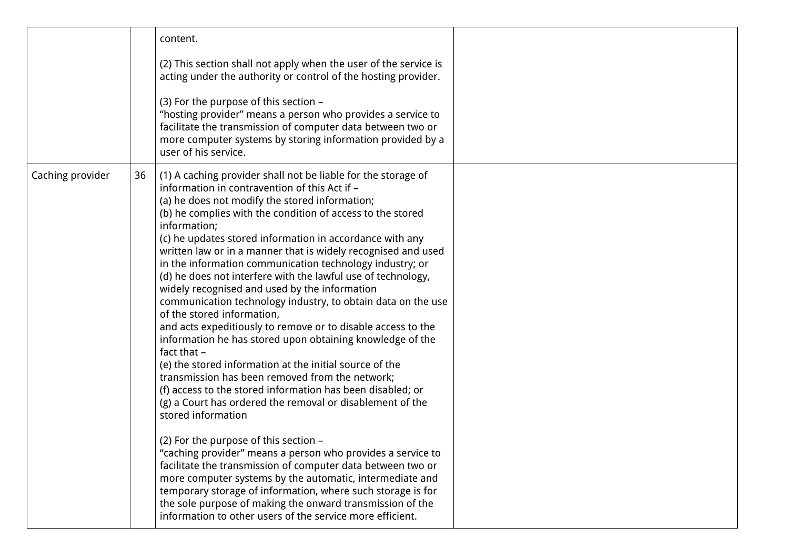|                  |    | content.                                                                                                                                                                                                                                                                                                                                                                                                                                                                                                                                                                                                                                                                                                                                                                                                                                                                                                                                                                                                                                                                                                                                                                                                                                                                                                                                                                                                                                                                                      |  |
|------------------|----|-----------------------------------------------------------------------------------------------------------------------------------------------------------------------------------------------------------------------------------------------------------------------------------------------------------------------------------------------------------------------------------------------------------------------------------------------------------------------------------------------------------------------------------------------------------------------------------------------------------------------------------------------------------------------------------------------------------------------------------------------------------------------------------------------------------------------------------------------------------------------------------------------------------------------------------------------------------------------------------------------------------------------------------------------------------------------------------------------------------------------------------------------------------------------------------------------------------------------------------------------------------------------------------------------------------------------------------------------------------------------------------------------------------------------------------------------------------------------------------------------|--|
|                  |    | (2) This section shall not apply when the user of the service is<br>acting under the authority or control of the hosting provider.                                                                                                                                                                                                                                                                                                                                                                                                                                                                                                                                                                                                                                                                                                                                                                                                                                                                                                                                                                                                                                                                                                                                                                                                                                                                                                                                                            |  |
|                  |    | (3) For the purpose of this section -<br>"hosting provider" means a person who provides a service to<br>facilitate the transmission of computer data between two or<br>more computer systems by storing information provided by a<br>user of his service.                                                                                                                                                                                                                                                                                                                                                                                                                                                                                                                                                                                                                                                                                                                                                                                                                                                                                                                                                                                                                                                                                                                                                                                                                                     |  |
| Caching provider | 36 | (1) A caching provider shall not be liable for the storage of<br>information in contravention of this Act if -<br>(a) he does not modify the stored information;<br>(b) he complies with the condition of access to the stored<br>information;<br>(c) he updates stored information in accordance with any<br>written law or in a manner that is widely recognised and used<br>in the information communication technology industry; or<br>(d) he does not interfere with the lawful use of technology,<br>widely recognised and used by the information<br>communication technology industry, to obtain data on the use<br>of the stored information,<br>and acts expeditiously to remove or to disable access to the<br>information he has stored upon obtaining knowledge of the<br>fact that -<br>(e) the stored information at the initial source of the<br>transmission has been removed from the network;<br>(f) access to the stored information has been disabled; or<br>(g) a Court has ordered the removal or disablement of the<br>stored information<br>(2) For the purpose of this section -<br>"caching provider" means a person who provides a service to<br>facilitate the transmission of computer data between two or<br>more computer systems by the automatic, intermediate and<br>temporary storage of information, where such storage is for<br>the sole purpose of making the onward transmission of the<br>information to other users of the service more efficient. |  |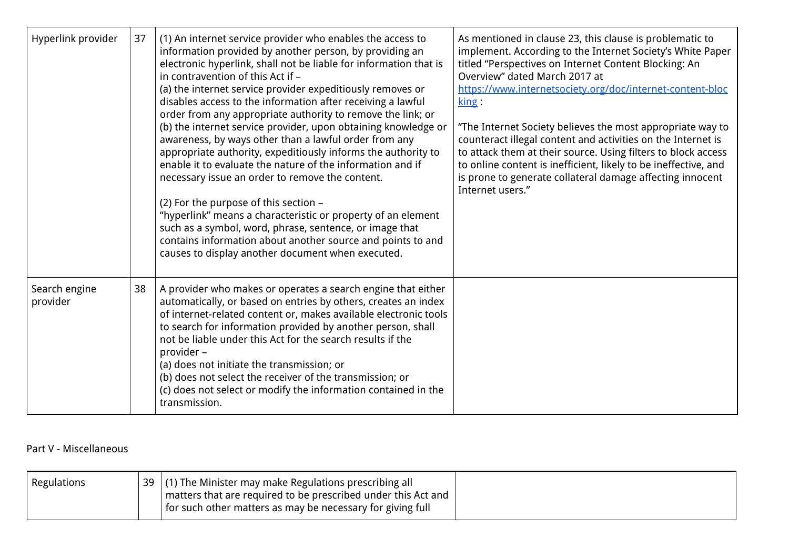| Hyperlink provider        | 37 | (1) An internet service provider who enables the access to<br>information provided by another person, by providing an<br>electronic hyperlink, shall not be liable for information that is<br>in contravention of this Act if -<br>(a) the internet service provider expeditiously removes or<br>disables access to the information after receiving a lawful<br>order from any appropriate authority to remove the link; or<br>(b) the internet service provider, upon obtaining knowledge or<br>awareness, by ways other than a lawful order from any<br>appropriate authority, expeditiously informs the authority to<br>enable it to evaluate the nature of the information and if<br>necessary issue an order to remove the content.<br>(2) For the purpose of this section -<br>"hyperlink" means a characteristic or property of an element<br>such as a symbol, word, phrase, sentence, or image that<br>contains information about another source and points to and<br>causes to display another document when executed. | As mentioned in clause 23, this clause is problematic to<br>implement. According to the Internet Society's White Paper<br>titled "Perspectives on Internet Content Blocking: An<br>Overview" dated March 2017 at<br>https://www.internetsociety.org/doc/internet-content-bloc<br>$\overline{\text{king}}$ :<br>"The Internet Society believes the most appropriate way to<br>counteract illegal content and activities on the Internet is<br>to attack them at their source. Using filters to block access<br>to online content is inefficient, likely to be ineffective, and<br>is prone to generate collateral damage affecting innocent<br>Internet users." |
|---------------------------|----|----------------------------------------------------------------------------------------------------------------------------------------------------------------------------------------------------------------------------------------------------------------------------------------------------------------------------------------------------------------------------------------------------------------------------------------------------------------------------------------------------------------------------------------------------------------------------------------------------------------------------------------------------------------------------------------------------------------------------------------------------------------------------------------------------------------------------------------------------------------------------------------------------------------------------------------------------------------------------------------------------------------------------------|----------------------------------------------------------------------------------------------------------------------------------------------------------------------------------------------------------------------------------------------------------------------------------------------------------------------------------------------------------------------------------------------------------------------------------------------------------------------------------------------------------------------------------------------------------------------------------------------------------------------------------------------------------------|
| Search engine<br>provider | 38 | A provider who makes or operates a search engine that either<br>automatically, or based on entries by others, creates an index<br>of internet-related content or, makes available electronic tools<br>to search for information provided by another person, shall<br>not be liable under this Act for the search results if the<br>provider -<br>(a) does not initiate the transmission; or<br>(b) does not select the receiver of the transmission; or<br>(c) does not select or modify the information contained in the<br>transmission.                                                                                                                                                                                                                                                                                                                                                                                                                                                                                       |                                                                                                                                                                                                                                                                                                                                                                                                                                                                                                                                                                                                                                                                |

### Part V - Miscellaneous

| <b>Regulations</b> | 39   (1) The Minister may make Regulations prescribing all    |  |
|--------------------|---------------------------------------------------------------|--|
|                    | matters that are required to be prescribed under this Act and |  |
|                    | for such other matters as may be necessary for giving full    |  |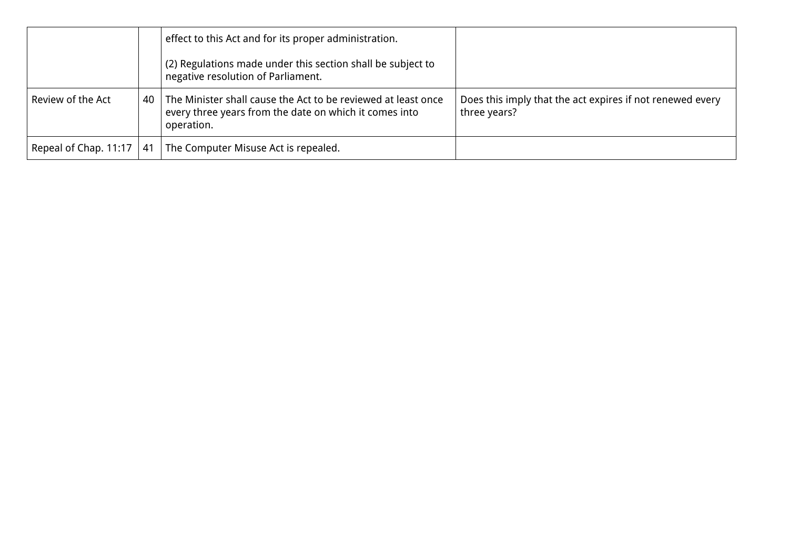|                                 |    | effect to this Act and for its proper administration.<br>(2) Regulations made under this section shall be subject to<br>negative resolution of Parliament. |                                                                           |
|---------------------------------|----|------------------------------------------------------------------------------------------------------------------------------------------------------------|---------------------------------------------------------------------------|
| Review of the Act               | 40 | The Minister shall cause the Act to be reviewed at least once<br>every three years from the date on which it comes into<br>operation.                      | Does this imply that the act expires if not renewed every<br>three years? |
| Repeal of Chap. $11:17 \mid 41$ |    | The Computer Misuse Act is repealed.                                                                                                                       |                                                                           |